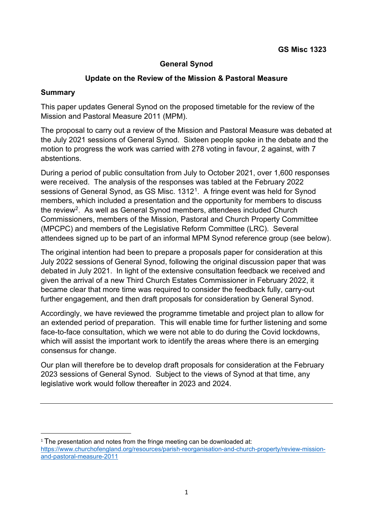#### **General Synod**

#### **Update on the Review of the Mission & Pastoral Measure**

#### **Summary**

This paper updates General Synod on the proposed timetable for the review of the Mission and Pastoral Measure 2011 (MPM).

The proposal to carry out a review of the Mission and Pastoral Measure was debated at the July 2021 sessions of General Synod. Sixteen people spoke in the debate and the motion to progress the work was carried with 278 voting in favour, 2 against, with 7 abstentions.

During a period of public consultation from July to October 2021, over 1,600 responses were received. The analysis of the responses was tabled at the February 2022 sessions of General Synod, as GS Misc. 1312<sup>1</sup>. A fringe event was held for Synod members, which included a presentation and the opportunity for members to discuss the revie[w2.](#page-0-1) As well as General Synod members, attendees included Church Commissioners, members of the Mission, Pastoral and Church Property Committee (MPCPC) and members of the Legislative Reform Committee (LRC). Several attendees signed up to be part of an informal MPM Synod reference group (see below).

The original intention had been to prepare a proposals paper for consideration at this July 2022 sessions of General Synod, following the original discussion paper that was debated in July 2021. In light of the extensive consultation feedback we received and given the arrival of a new Third Church Estates Commissioner in February 2022, it became clear that more time was required to consider the feedback fully, carry-out further engagement, and then draft proposals for consideration by General Synod.

Accordingly, we have reviewed the programme timetable and project plan to allow for an extended period of preparation. This will enable time for further listening and some face-to-face consultation, which we were not able to do during the Covid lockdowns, which will assist the important work to identify the areas where there is an emerging consensus for change.

Our plan will therefore be to develop draft proposals for consideration at the February 2023 sessions of General Synod. Subject to the views of Synod at that time, any legislative work would follow thereafter in 2023 and 2024.

<span id="page-0-1"></span><span id="page-0-0"></span> $1$  The presentation and notes from the fringe meeting can be downloaded at: [https://www.churchofengland.org/resources/parish-reorganisation-and-church-property/review-mission](https://www.churchofengland.org/resources/parish-reorganisation-and-church-property/review-mission-and-pastoral-measure-2011)[and-pastoral-measure-2011](https://www.churchofengland.org/resources/parish-reorganisation-and-church-property/review-mission-and-pastoral-measure-2011)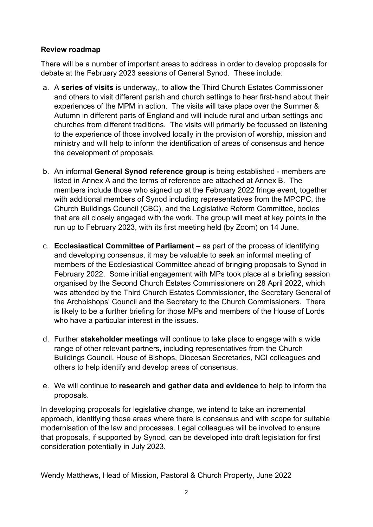### **Review roadmap**

There will be a number of important areas to address in order to develop proposals for debate at the February 2023 sessions of General Synod. These include:

- a. A **series of visits** is underway,, to allow the Third Church Estates Commissioner and others to visit different parish and church settings to hear first-hand about their experiences of the MPM in action. The visits will take place over the Summer & Autumn in different parts of England and will include rural and urban settings and churches from different traditions. The visits will primarily be focussed on listening to the experience of those involved locally in the provision of worship, mission and ministry and will help to inform the identification of areas of consensus and hence the development of proposals.
- b. An informal **General Synod reference group** is being established members are listed in Annex A and the terms of reference are attached at Annex B. The members include those who signed up at the February 2022 fringe event, together with additional members of Synod including representatives from the MPCPC, the Church Buildings Council (CBC), and the Legislative Reform Committee, bodies that are all closely engaged with the work. The group will meet at key points in the run up to February 2023, with its first meeting held (by Zoom) on 14 June.
- c. **Ecclesiastical Committee of Parliament** as part of the process of identifying and developing consensus, it may be valuable to seek an informal meeting of members of the Ecclesiastical Committee ahead of bringing proposals to Synod in February 2022. Some initial engagement with MPs took place at a briefing session organised by the Second Church Estates Commissioners on 28 April 2022, which was attended by the Third Church Estates Commissioner, the Secretary General of the Archbishops' Council and the Secretary to the Church Commissioners. There is likely to be a further briefing for those MPs and members of the House of Lords who have a particular interest in the issues.
- d. Further **stakeholder meetings** will continue to take place to engage with a wide range of other relevant partners, including representatives from the Church Buildings Council, House of Bishops, Diocesan Secretaries, NCI colleagues and others to help identify and develop areas of consensus.
- e. We will continue to **research and gather data and evidence** to help to inform the proposals.

In developing proposals for legislative change, we intend to take an incremental approach, identifying those areas where there is consensus and with scope for suitable modernisation of the law and processes. Legal colleagues will be involved to ensure that proposals, if supported by Synod, can be developed into draft legislation for first consideration potentially in July 2023.

Wendy Matthews, Head of Mission, Pastoral & Church Property, June 2022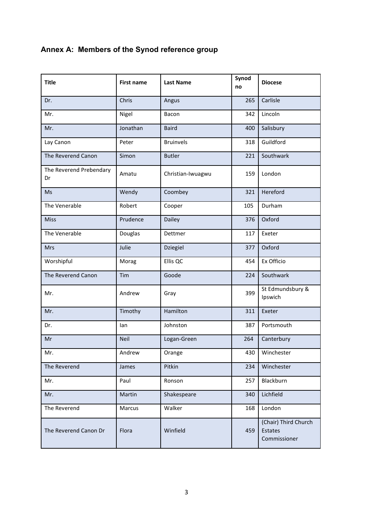|  |  |  | Annex A: Members of the Synod reference group |
|--|--|--|-----------------------------------------------|
|--|--|--|-----------------------------------------------|

| <b>Title</b>                  | <b>First name</b> | <b>Last Name</b>  | Synod<br>no | <b>Diocese</b>                                  |
|-------------------------------|-------------------|-------------------|-------------|-------------------------------------------------|
| Dr.                           | Chris             | Angus             | 265         | Carlisle                                        |
| Mr.                           | Nigel             | Bacon             | 342         | Lincoln                                         |
| Mr.                           | Jonathan          | <b>Baird</b>      | 400         | Salisbury                                       |
| Lay Canon                     | Peter             | <b>Bruinvels</b>  | 318         | Guildford                                       |
| The Reverend Canon            | Simon             | <b>Butler</b>     | 221         | Southwark                                       |
| The Reverend Prebendary<br>Dr | Amatu             | Christian-Iwuagwu | 159         | London                                          |
| <b>Ms</b>                     | Wendy             | Coombey           | 321         | Hereford                                        |
| The Venerable                 | Robert            | Cooper            | 105         | Durham                                          |
| <b>Miss</b>                   | Prudence          | <b>Dailey</b>     | 376         | Oxford                                          |
| The Venerable                 | Douglas           | Dettmer           | 117         | Exeter                                          |
| <b>Mrs</b>                    | Julie             | <b>Dziegiel</b>   | 377         | Oxford                                          |
| Worshipful                    | Morag             | Ellis QC          | 454         | Ex Officio                                      |
| The Reverend Canon            | Tim               | Goode             | 224         | Southwark                                       |
| Mr.                           | Andrew            | Gray              | 399         | St Edmundsbury &<br>Ipswich                     |
| Mr.                           | Timothy           | Hamilton          | 311         | Exeter                                          |
| Dr.                           | lan               | Johnston          | 387         | Portsmouth                                      |
| Mr                            | <b>Neil</b>       | Logan-Green       | 264         | Canterbury                                      |
| Mr.                           | Andrew            | Orange            | 430         | Winchester                                      |
| The Reverend                  | James             | Pitkin            | 234         | Winchester                                      |
| Mr.                           | Paul              | Ronson            | 257         | Blackburn                                       |
| Mr.                           | Martin            | Shakespeare       | 340         | Lichfield                                       |
| The Reverend                  | Marcus            | Walker            | 168         | London                                          |
| The Reverend Canon Dr         | Flora             | Winfield          | 459         | (Chair) Third Church<br>Estates<br>Commissioner |